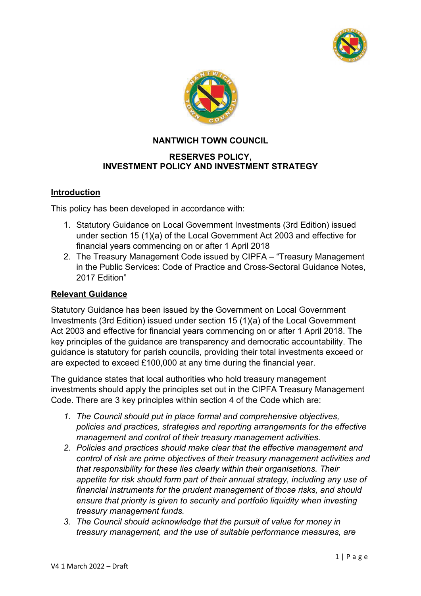



# **NANTWICH TOWN COUNCIL**

### **RESERVES POLICY, INVESTMENT POLICY AND INVESTMENT STRATEGY**

### **Introduction**

This policy has been developed in accordance with:

- 1. Statutory Guidance on Local Government Investments (3rd Edition) issued under section 15 (1)(a) of the Local Government Act 2003 and effective for financial years commencing on or after 1 April 2018
- 2. The Treasury Management Code issued by CIPFA "Treasury Management in the Public Services: Code of Practice and Cross-Sectoral Guidance Notes, 2017 Edition"

### **Relevant Guidance**

Statutory Guidance has been issued by the Government on Local Government Investments (3rd Edition) issued under section 15 (1)(a) of the Local Government Act 2003 and effective for financial years commencing on or after 1 April 2018. The key principles of the guidance are transparency and democratic accountability. The guidance is statutory for parish councils, providing their total investments exceed or are expected to exceed £100,000 at any time during the financial year.

The guidance states that local authorities who hold treasury management investments should apply the principles set out in the CIPFA Treasury Management Code. There are 3 key principles within section 4 of the Code which are:

- *1. The Council should put in place formal and comprehensive objectives, policies and practices, strategies and reporting arrangements for the effective management and control of their treasury management activities.*
- *2. Policies and practices should make clear that the effective management and control of risk are prime objectives of their treasury management activities and that responsibility for these lies clearly within their organisations. Their appetite for risk should form part of their annual strategy, including any use of financial instruments for the prudent management of those risks, and should ensure that priority is given to security and portfolio liquidity when investing treasury management funds.*
- *3. The Council should acknowledge that the pursuit of value for money in treasury management, and the use of suitable performance measures, are*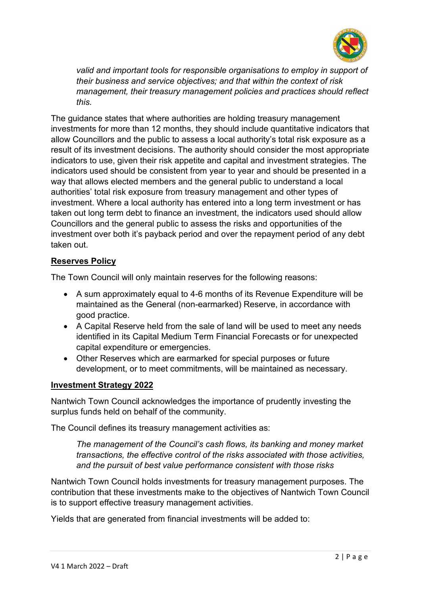

*valid and important tools for responsible organisations to employ in support of their business and service objectives; and that within the context of risk management, their treasury management policies and practices should reflect this.*

The guidance states that where authorities are holding treasury management investments for more than 12 months, they should include quantitative indicators that allow Councillors and the public to assess a local authority's total risk exposure as a result of its investment decisions. The authority should consider the most appropriate indicators to use, given their risk appetite and capital and investment strategies. The indicators used should be consistent from year to year and should be presented in a way that allows elected members and the general public to understand a local authorities' total risk exposure from treasury management and other types of investment. Where a local authority has entered into a long term investment or has taken out long term debt to finance an investment, the indicators used should allow Councillors and the general public to assess the risks and opportunities of the investment over both it's payback period and over the repayment period of any debt taken out.

### **Reserves Policy**

The Town Council will only maintain reserves for the following reasons:

- A sum approximately equal to 4-6 months of its Revenue Expenditure will be maintained as the General (non-earmarked) Reserve, in accordance with good practice.
- A Capital Reserve held from the sale of land will be used to meet any needs identified in its Capital Medium Term Financial Forecasts or for unexpected capital expenditure or emergencies.
- Other Reserves which are earmarked for special purposes or future development, or to meet commitments, will be maintained as necessary.

### **Investment Strategy 2022**

Nantwich Town Council acknowledges the importance of prudently investing the surplus funds held on behalf of the community.

The Council defines its treasury management activities as:

*The management of the Council's cash flows, its banking and money market transactions, the effective control of the risks associated with those activities, and the pursuit of best value performance consistent with those risks*

Nantwich Town Council holds investments for treasury management purposes. The contribution that these investments make to the objectives of Nantwich Town Council is to support effective treasury management activities.

Yields that are generated from financial investments will be added to: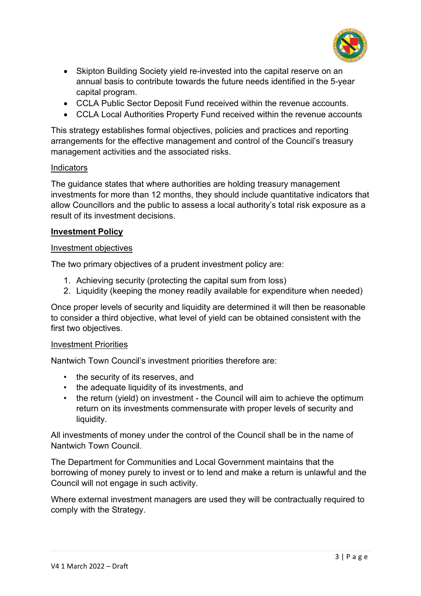

- Skipton Building Society yield re-invested into the capital reserve on an annual basis to contribute towards the future needs identified in the 5-year capital program.
- CCLA Public Sector Deposit Fund received within the revenue accounts.
- CCLA Local Authorities Property Fund received within the revenue accounts

This strategy establishes formal objectives, policies and practices and reporting arrangements for the effective management and control of the Council's treasury management activities and the associated risks.

### **Indicators**

The guidance states that where authorities are holding treasury management investments for more than 12 months, they should include quantitative indicators that allow Councillors and the public to assess a local authority's total risk exposure as a result of its investment decisions.

### **Investment Policy**

#### Investment objectives

The two primary objectives of a prudent investment policy are:

- 1. Achieving security (protecting the capital sum from loss)
- 2. Liquidity (keeping the money readily available for expenditure when needed)

Once proper levels of security and liquidity are determined it will then be reasonable to consider a third objective, what level of yield can be obtained consistent with the first two objectives.

### Investment Priorities

Nantwich Town Council's investment priorities therefore are:

- the security of its reserves, and
- the adequate liquidity of its investments, and
- the return (yield) on investment the Council will aim to achieve the optimum return on its investments commensurate with proper levels of security and liquidity.

All investments of money under the control of the Council shall be in the name of Nantwich Town Council.

The Department for Communities and Local Government maintains that the borrowing of money purely to invest or to lend and make a return is unlawful and the Council will not engage in such activity.

Where external investment managers are used they will be contractually required to comply with the Strategy.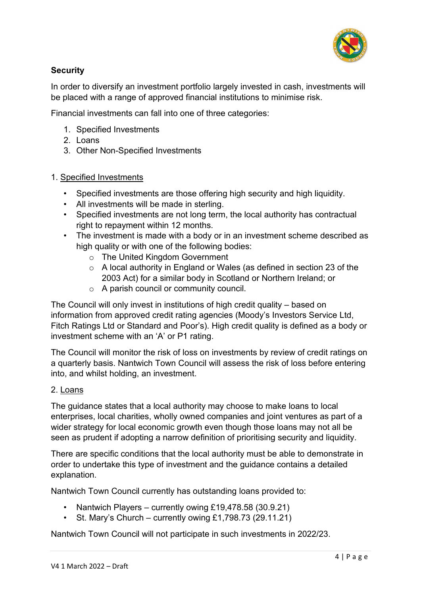

# **Security**

In order to diversify an investment portfolio largely invested in cash, investments will be placed with a range of approved financial institutions to minimise risk.

Financial investments can fall into one of three categories:

- 1. Specified Investments
- 2. Loans
- 3. Other Non-Specified Investments

# 1. Specified Investments

- Specified investments are those offering high security and high liquidity.
- All investments will be made in sterling.
- Specified investments are not long term, the local authority has contractual right to repayment within 12 months.
- The investment is made with a body or in an investment scheme described as high quality or with one of the following bodies:
	- o The United Kingdom Government
	- o A local authority in England or Wales (as defined in section 23 of the 2003 Act) for a similar body in Scotland or Northern Ireland; or
	- o A parish council or community council.

The Council will only invest in institutions of high credit quality – based on information from approved credit rating agencies (Moody's Investors Service Ltd, Fitch Ratings Ltd or Standard and Poor's). High credit quality is defined as a body or investment scheme with an 'A' or P1 rating.

The Council will monitor the risk of loss on investments by review of credit ratings on a quarterly basis. Nantwich Town Council will assess the risk of loss before entering into, and whilst holding, an investment.

# 2. Loans

The guidance states that a local authority may choose to make loans to local enterprises, local charities, wholly owned companies and joint ventures as part of a wider strategy for local economic growth even though those loans may not all be seen as prudent if adopting a narrow definition of prioritising security and liquidity.

There are specific conditions that the local authority must be able to demonstrate in order to undertake this type of investment and the guidance contains a detailed explanation.

Nantwich Town Council currently has outstanding loans provided to:

- Nantwich Players currently owing £19,478.58 (30.9.21)
- St. Mary's Church currently owing  $£1.798.73$  (29.11.21)

Nantwich Town Council will not participate in such investments in 2022/23.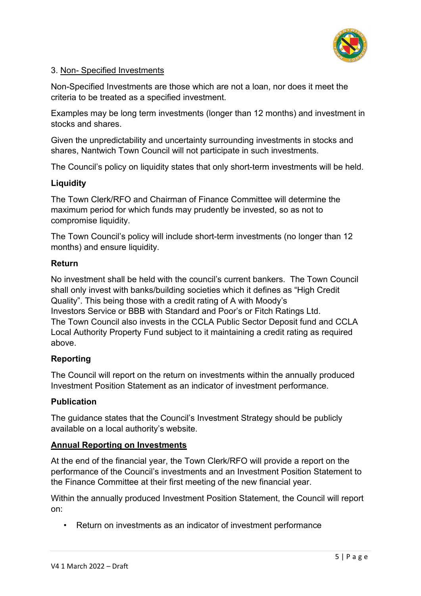

### 3. Non- Specified Investments

Non-Specified Investments are those which are not a loan, nor does it meet the criteria to be treated as a specified investment.

Examples may be long term investments (longer than 12 months) and investment in stocks and shares.

Given the unpredictability and uncertainty surrounding investments in stocks and shares, Nantwich Town Council will not participate in such investments.

The Council's policy on liquidity states that only short-term investments will be held.

# **Liquidity**

The Town Clerk/RFO and Chairman of Finance Committee will determine the maximum period for which funds may prudently be invested, so as not to compromise liquidity.

The Town Council's policy will include short-term investments (no longer than 12 months) and ensure liquidity.

### **Return**

No investment shall be held with the council's current bankers. The Town Council shall only invest with banks/building societies which it defines as "High Credit Quality". This being those with a credit rating of A with Moody's Investors Service or BBB with Standard and Poor's or Fitch Ratings Ltd. The Town Council also invests in the CCLA Public Sector Deposit fund and CCLA Local Authority Property Fund subject to it maintaining a credit rating as required above.

# **Reporting**

The Council will report on the return on investments within the annually produced Investment Position Statement as an indicator of investment performance.

# **Publication**

The guidance states that the Council's Investment Strategy should be publicly available on a local authority's website.

### **Annual Reporting on Investments**

At the end of the financial year, the Town Clerk/RFO will provide a report on the performance of the Council's investments and an Investment Position Statement to the Finance Committee at their first meeting of the new financial year.

Within the annually produced Investment Position Statement, the Council will report on:

• Return on investments as an indicator of investment performance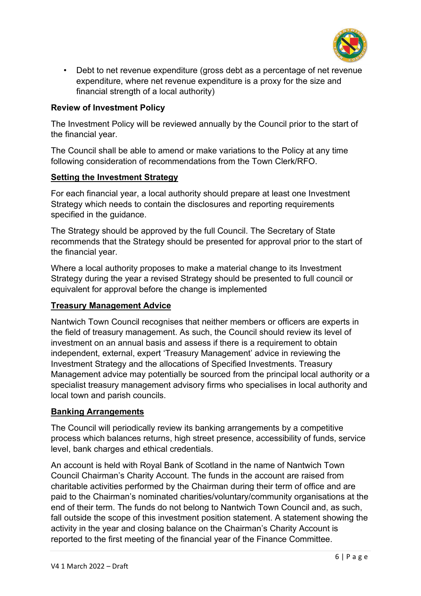

• Debt to net revenue expenditure (gross debt as a percentage of net revenue expenditure, where net revenue expenditure is a proxy for the size and financial strength of a local authority)

### **Review of Investment Policy**

The Investment Policy will be reviewed annually by the Council prior to the start of the financial year.

The Council shall be able to amend or make variations to the Policy at any time following consideration of recommendations from the Town Clerk/RFO.

### **Setting the Investment Strategy**

For each financial year, a local authority should prepare at least one Investment Strategy which needs to contain the disclosures and reporting requirements specified in the guidance.

The Strategy should be approved by the full Council. The Secretary of State recommends that the Strategy should be presented for approval prior to the start of the financial year.

Where a local authority proposes to make a material change to its Investment Strategy during the year a revised Strategy should be presented to full council or equivalent for approval before the change is implemented

### **Treasury Management Advice**

Nantwich Town Council recognises that neither members or officers are experts in the field of treasury management. As such, the Council should review its level of investment on an annual basis and assess if there is a requirement to obtain independent, external, expert 'Treasury Management' advice in reviewing the Investment Strategy and the allocations of Specified Investments. Treasury Management advice may potentially be sourced from the principal local authority or a specialist treasury management advisory firms who specialises in local authority and local town and parish councils.

### **Banking Arrangements**

The Council will periodically review its banking arrangements by a competitive process which balances returns, high street presence, accessibility of funds, service level, bank charges and ethical credentials.

An account is held with Royal Bank of Scotland in the name of Nantwich Town Council Chairman's Charity Account. The funds in the account are raised from charitable activities performed by the Chairman during their term of office and are paid to the Chairman's nominated charities/voluntary/community organisations at the end of their term. The funds do not belong to Nantwich Town Council and, as such, fall outside the scope of this investment position statement. A statement showing the activity in the year and closing balance on the Chairman's Charity Account is reported to the first meeting of the financial year of the Finance Committee.